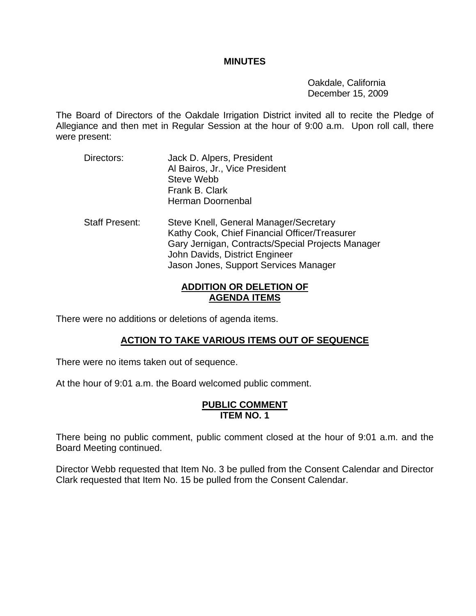#### **MINUTES**

 Oakdale, California December 15, 2009

The Board of Directors of the Oakdale Irrigation District invited all to recite the Pledge of Allegiance and then met in Regular Session at the hour of 9:00 a.m. Upon roll call, there were present:

- Directors: Jack D. Alpers, President Al Bairos, Jr., Vice President Steve Webb Frank B. Clark Herman Doornenbal
- Staff Present: Steve Knell, General Manager/Secretary Kathy Cook, Chief Financial Officer/Treasurer Gary Jernigan, Contracts/Special Projects Manager John Davids, District Engineer Jason Jones, Support Services Manager

### **ADDITION OR DELETION OF AGENDA ITEMS**

There were no additions or deletions of agenda items.

# **ACTION TO TAKE VARIOUS ITEMS OUT OF SEQUENCE**

There were no items taken out of sequence.

At the hour of 9:01 a.m. the Board welcomed public comment.

#### **PUBLIC COMMENT ITEM NO. 1**

There being no public comment, public comment closed at the hour of 9:01 a.m. and the Board Meeting continued.

Director Webb requested that Item No. 3 be pulled from the Consent Calendar and Director Clark requested that Item No. 15 be pulled from the Consent Calendar.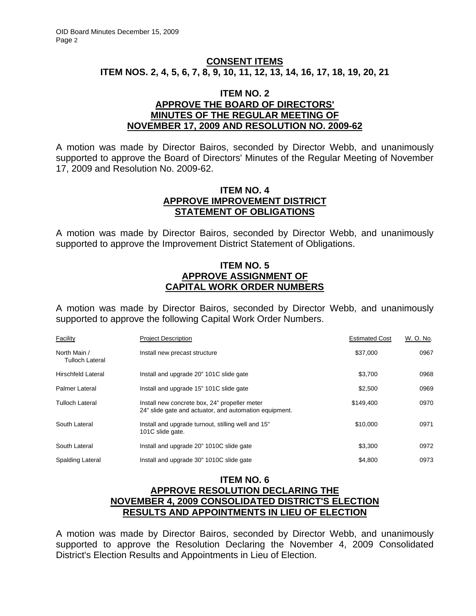#### **CONSENT ITEMS ITEM NOS. 2, 4, 5, 6, 7, 8, 9, 10, 11, 12, 13, 14, 16, 17, 18, 19, 20, 21**

#### **ITEM NO. 2 APPROVE THE BOARD OF DIRECTORS' MINUTES OF THE REGULAR MEETING OF NOVEMBER 17, 2009 AND RESOLUTION NO. 2009-62**

A motion was made by Director Bairos, seconded by Director Webb, and unanimously supported to approve the Board of Directors' Minutes of the Regular Meeting of November 17, 2009 and Resolution No. 2009-62.

#### **ITEM NO. 4 APPROVE IMPROVEMENT DISTRICT STATEMENT OF OBLIGATIONS**

A motion was made by Director Bairos, seconded by Director Webb, and unanimously supported to approve the Improvement District Statement of Obligations.

### **ITEM NO. 5 APPROVE ASSIGNMENT OF CAPITAL WORK ORDER NUMBERS**

A motion was made by Director Bairos, seconded by Director Webb, and unanimously supported to approve the following Capital Work Order Numbers.

| Facility                               | <b>Project Description</b>                                                                              | <b>Estimated Cost</b> | W. O. No. |
|----------------------------------------|---------------------------------------------------------------------------------------------------------|-----------------------|-----------|
| North Main /<br><b>Tulloch Lateral</b> | Install new precast structure                                                                           | \$37,000              | 0967      |
| <b>Hirschfeld Lateral</b>              | Install and upgrade 20" 101C slide gate                                                                 | \$3.700               | 0968      |
| Palmer Lateral                         | Install and upgrade 15" 101C slide gate                                                                 | \$2,500               | 0969      |
| <b>Tulloch Lateral</b>                 | Install new concrete box, 24" propeller meter<br>24" slide gate and actuator, and automation equipment. | \$149,400             | 0970      |
| South Lateral                          | Install and upgrade turnout, stilling well and 15"<br>101C slide gate.                                  | \$10,000              | 0971      |
| South Lateral                          | Install and upgrade 20" 1010C slide gate                                                                | \$3,300               | 0972      |
| Spalding Lateral                       | Install and upgrade 30" 1010C slide gate                                                                | \$4,800               | 0973      |

## **ITEM NO. 6 APPROVE RESOLUTION DECLARING THE NOVEMBER 4, 2009 CONSOLIDATED DISTRICT'S ELECTION RESULTS AND APPOINTMENTS IN LIEU OF ELECTION**

A motion was made by Director Bairos, seconded by Director Webb, and unanimously supported to approve the Resolution Declaring the November 4, 2009 Consolidated District's Election Results and Appointments in Lieu of Election.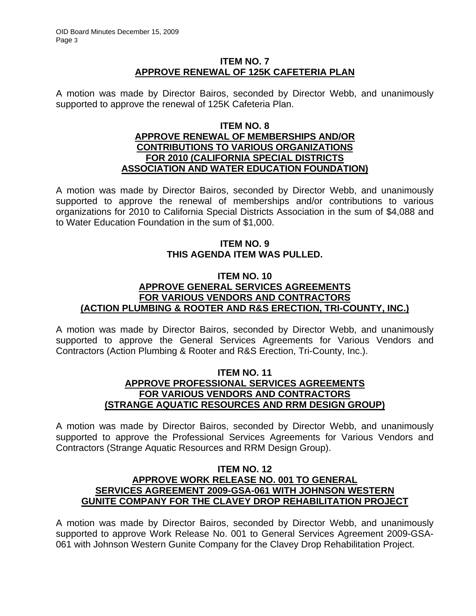### **ITEM NO. 7 APPROVE RENEWAL OF 125K CAFETERIA PLAN**

A motion was made by Director Bairos, seconded by Director Webb, and unanimously supported to approve the renewal of 125K Cafeteria Plan.

#### **ITEM NO. 8 APPROVE RENEWAL OF MEMBERSHIPS AND/OR CONTRIBUTIONS TO VARIOUS ORGANIZATIONS FOR 2010 (CALIFORNIA SPECIAL DISTRICTS ASSOCIATION AND WATER EDUCATION FOUNDATION)**

A motion was made by Director Bairos, seconded by Director Webb, and unanimously supported to approve the renewal of memberships and/or contributions to various organizations for 2010 to California Special Districts Association in the sum of \$4,088 and to Water Education Foundation in the sum of \$1,000.

## **ITEM NO. 9 THIS AGENDA ITEM WAS PULLED.**

### **ITEM NO. 10 APPROVE GENERAL SERVICES AGREEMENTS FOR VARIOUS VENDORS AND CONTRACTORS (ACTION PLUMBING & ROOTER AND R&S ERECTION, TRI-COUNTY, INC.)**

A motion was made by Director Bairos, seconded by Director Webb, and unanimously supported to approve the General Services Agreements for Various Vendors and Contractors (Action Plumbing & Rooter and R&S Erection, Tri-County, Inc.).

#### **ITEM NO. 11 APPROVE PROFESSIONAL SERVICES AGREEMENTS FOR VARIOUS VENDORS AND CONTRACTORS (STRANGE AQUATIC RESOURCES AND RRM DESIGN GROUP)**

A motion was made by Director Bairos, seconded by Director Webb, and unanimously supported to approve the Professional Services Agreements for Various Vendors and Contractors (Strange Aquatic Resources and RRM Design Group).

#### **ITEM NO. 12 APPROVE WORK RELEASE NO. 001 TO GENERAL SERVICES AGREEMENT 2009-GSA-061 WITH JOHNSON WESTERN GUNITE COMPANY FOR THE CLAVEY DROP REHABILITATION PROJECT**

A motion was made by Director Bairos, seconded by Director Webb, and unanimously supported to approve Work Release No. 001 to General Services Agreement 2009-GSA-061 with Johnson Western Gunite Company for the Clavey Drop Rehabilitation Project.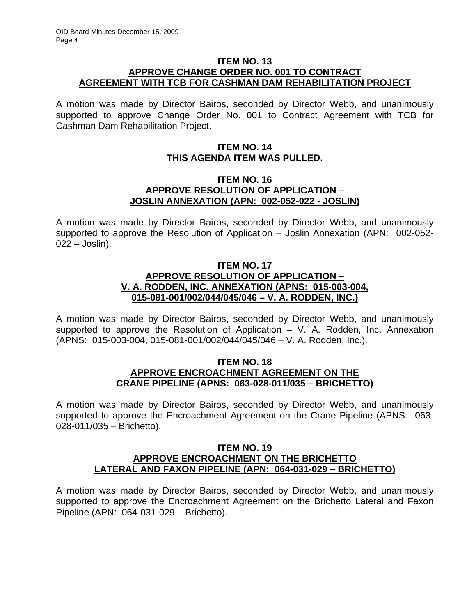#### **ITEM NO. 13 APPROVE CHANGE ORDER NO. 001 TO CONTRACT AGREEMENT WITH TCB FOR CASHMAN DAM REHABILITATION PROJECT**

A motion was made by Director Bairos, seconded by Director Webb, and unanimously supported to approve Change Order No. 001 to Contract Agreement with TCB for Cashman Dam Rehabilitation Project.

## **ITEM NO. 14 THIS AGENDA ITEM WAS PULLED.**

#### **ITEM NO. 16 APPROVE RESOLUTION OF APPLICATION – JOSLIN ANNEXATION (APN: 002-052-022 - JOSLIN)**

A motion was made by Director Bairos, seconded by Director Webb, and unanimously supported to approve the Resolution of Application – Joslin Annexation (APN: 002-052- 022 – Joslin).

## **ITEM NO. 17 APPROVE RESOLUTION OF APPLICATION – V. A. RODDEN, INC. ANNEXATION (APNS: 015-003-004, 015-081-001/002/044/045/046 – V. A. RODDEN, INC.)**

A motion was made by Director Bairos, seconded by Director Webb, and unanimously supported to approve the Resolution of Application  $-$  V. A. Rodden, Inc. Annexation (APNS: 015-003-004, 015-081-001/002/044/045/046 – V. A. Rodden, Inc.).

#### **ITEM NO. 18 APPROVE ENCROACHMENT AGREEMENT ON THE CRANE PIPELINE (APNS: 063-028-011/035 – BRICHETTO)**

A motion was made by Director Bairos, seconded by Director Webb, and unanimously supported to approve the Encroachment Agreement on the Crane Pipeline (APNS: 063- 028-011/035 – Brichetto).

#### **ITEM NO. 19 APPROVE ENCROACHMENT ON THE BRICHETTO LATERAL AND FAXON PIPELINE (APN: 064-031-029 – BRICHETTO)**

A motion was made by Director Bairos, seconded by Director Webb, and unanimously supported to approve the Encroachment Agreement on the Brichetto Lateral and Faxon Pipeline (APN: 064-031-029 – Brichetto).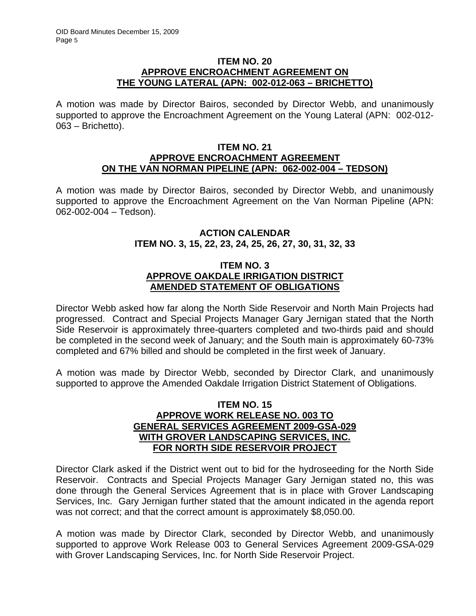#### **ITEM NO. 20 APPROVE ENCROACHMENT AGREEMENT ON THE YOUNG LATERAL (APN: 002-012-063 – BRICHETTO)**

A motion was made by Director Bairos, seconded by Director Webb, and unanimously supported to approve the Encroachment Agreement on the Young Lateral (APN: 002-012- 063 – Brichetto).

#### **ITEM NO. 21 APPROVE ENCROACHMENT AGREEMENT ON THE VAN NORMAN PIPELINE (APN: 062-002-004 – TEDSON)**

A motion was made by Director Bairos, seconded by Director Webb, and unanimously supported to approve the Encroachment Agreement on the Van Norman Pipeline (APN: 062-002-004 – Tedson).

## **ACTION CALENDAR ITEM NO. 3, 15, 22, 23, 24, 25, 26, 27, 30, 31, 32, 33**

### **ITEM NO. 3 APPROVE OAKDALE IRRIGATION DISTRICT AMENDED STATEMENT OF OBLIGATIONS**

Director Webb asked how far along the North Side Reservoir and North Main Projects had progressed. Contract and Special Projects Manager Gary Jernigan stated that the North Side Reservoir is approximately three-quarters completed and two-thirds paid and should be completed in the second week of January; and the South main is approximately 60-73% completed and 67% billed and should be completed in the first week of January.

A motion was made by Director Webb, seconded by Director Clark, and unanimously supported to approve the Amended Oakdale Irrigation District Statement of Obligations.

#### **ITEM NO. 15 APPROVE WORK RELEASE NO. 003 TO GENERAL SERVICES AGREEMENT 2009-GSA-029 WITH GROVER LANDSCAPING SERVICES, INC. FOR NORTH SIDE RESERVOIR PROJECT**

Director Clark asked if the District went out to bid for the hydroseeding for the North Side Reservoir. Contracts and Special Projects Manager Gary Jernigan stated no, this was done through the General Services Agreement that is in place with Grover Landscaping Services, Inc. Gary Jernigan further stated that the amount indicated in the agenda report was not correct; and that the correct amount is approximately \$8,050.00.

A motion was made by Director Clark, seconded by Director Webb, and unanimously supported to approve Work Release 003 to General Services Agreement 2009-GSA-029 with Grover Landscaping Services, Inc. for North Side Reservoir Project.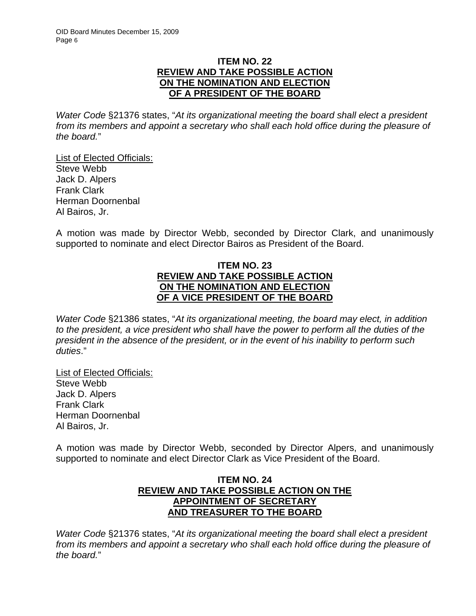#### **ITEM NO. 22 REVIEW AND TAKE POSSIBLE ACTION ON THE NOMINATION AND ELECTION OF A PRESIDENT OF THE BOARD**

*Water Code* §21376 states, "*At its organizational meeting the board shall elect a president*  from its members and appoint a secretary who shall each hold office during the pleasure of *the board.*"

List of Elected Officials: Steve Webb Jack D. Alpers Frank Clark Herman Doornenbal Al Bairos, Jr.

A motion was made by Director Webb, seconded by Director Clark, and unanimously supported to nominate and elect Director Bairos as President of the Board.

## **ITEM NO. 23 REVIEW AND TAKE POSSIBLE ACTION ON THE NOMINATION AND ELECTION OF A VICE PRESIDENT OF THE BOARD**

*Water Code* §21386 states, "*At its organizational meeting, the board may elect, in addition to the president, a vice president who shall have the power to perform all the duties of the president in the absence of the president, or in the event of his inability to perform such duties*."

List of Elected Officials: Steve Webb Jack D. Alpers Frank Clark Herman Doornenbal Al Bairos, Jr.

A motion was made by Director Webb, seconded by Director Alpers, and unanimously supported to nominate and elect Director Clark as Vice President of the Board.

## **ITEM NO. 24 REVIEW AND TAKE POSSIBLE ACTION ON THE APPOINTMENT OF SECRETARY AND TREASURER TO THE BOARD**

*Water Code* §21376 states, "*At its organizational meeting the board shall elect a president from its members and appoint a secretary who shall each hold office during the pleasure of the board.*"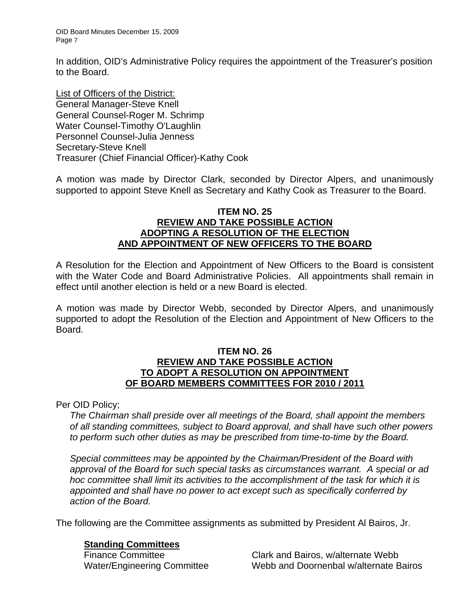In addition, OID's Administrative Policy requires the appointment of the Treasurer's position to the Board.

List of Officers of the District: General Manager-Steve Knell General Counsel-Roger M. Schrimp Water Counsel-Timothy O'Laughlin Personnel Counsel-Julia Jenness Secretary-Steve Knell Treasurer (Chief Financial Officer)-Kathy Cook

A motion was made by Director Clark, seconded by Director Alpers, and unanimously supported to appoint Steve Knell as Secretary and Kathy Cook as Treasurer to the Board.

## **ITEM NO. 25 REVIEW AND TAKE POSSIBLE ACTION ADOPTING A RESOLUTION OF THE ELECTION AND APPOINTMENT OF NEW OFFICERS TO THE BOARD**

A Resolution for the Election and Appointment of New Officers to the Board is consistent with the Water Code and Board Administrative Policies. All appointments shall remain in effect until another election is held or a new Board is elected.

A motion was made by Director Webb, seconded by Director Alpers, and unanimously supported to adopt the Resolution of the Election and Appointment of New Officers to the Board.

#### **ITEM NO. 26 REVIEW AND TAKE POSSIBLE ACTION TO ADOPT A RESOLUTION ON APPOINTMENT OF BOARD MEMBERS COMMITTEES FOR 2010 / 2011**

Per OID Policy;

*The Chairman shall preside over all meetings of the Board, shall appoint the members of all standing committees, subject to Board approval, and shall have such other powers to perform such other duties as may be prescribed from time-to-time by the Board.* 

*Special committees may be appointed by the Chairman/President of the Board with approval of the Board for such special tasks as circumstances warrant. A special or ad hoc committee shall limit its activities to the accomplishment of the task for which it is appointed and shall have no power to act except such as specifically conferred by action of the Board.* 

The following are the Committee assignments as submitted by President Al Bairos, Jr.

# **Standing Committees**

Finance Committee **Committee** Clark and Bairos, w/alternate Webb Water/Engineering Committee Webb and Doornenbal w/alternate Bairos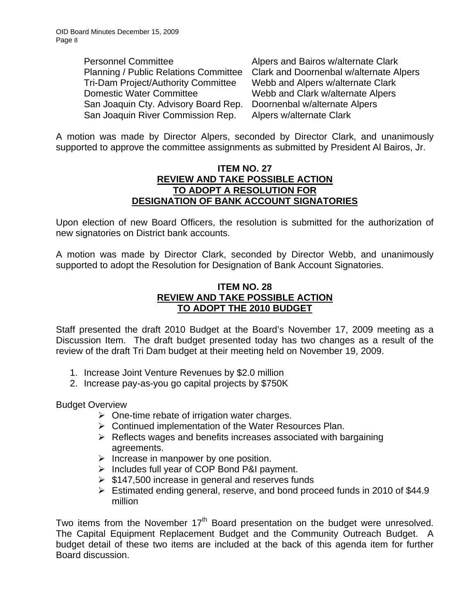Personnel Committee Alpers and Bairos w/alternate Clark Tri-Dam Project/Authority Committee Webb and Alpers w/alternate Clark Domestic Water Committee Webb and Clark w/alternate Alpers San Joaquin Cty. Advisory Board Rep. Doornenbal w/alternate Alpers San Joaquin River Commission Rep. Alpers w/alternate Clark

Planning / Public Relations Committee Clark and Doornenbal w/alternate Alpers

A motion was made by Director Alpers, seconded by Director Clark, and unanimously supported to approve the committee assignments as submitted by President Al Bairos, Jr.

### **ITEM NO. 27 REVIEW AND TAKE POSSIBLE ACTION TO ADOPT A RESOLUTION FOR DESIGNATION OF BANK ACCOUNT SIGNATORIES**

Upon election of new Board Officers, the resolution is submitted for the authorization of new signatories on District bank accounts.

A motion was made by Director Clark, seconded by Director Webb, and unanimously supported to adopt the Resolution for Designation of Bank Account Signatories.

## **ITEM NO. 28 REVIEW AND TAKE POSSIBLE ACTION TO ADOPT THE 2010 BUDGET**

Staff presented the draft 2010 Budget at the Board's November 17, 2009 meeting as a Discussion Item. The draft budget presented today has two changes as a result of the review of the draft Tri Dam budget at their meeting held on November 19, 2009.

- 1. Increase Joint Venture Revenues by \$2.0 million
- 2. Increase pay-as-you go capital projects by \$750K

Budget Overview

- $\triangleright$  One-time rebate of irrigation water charges.
- ¾ Continued implementation of the Water Resources Plan.
- $\triangleright$  Reflects wages and benefits increases associated with bargaining agreements.
- $\triangleright$  Increase in manpower by one position.
- ¾ Includes full year of COP Bond P&I payment.
- $\geq$  \$147,500 increase in general and reserves funds
- ¾ Estimated ending general, reserve, and bond proceed funds in 2010 of \$44.9 million

Two items from the November  $17<sup>th</sup>$  Board presentation on the budget were unresolved. The Capital Equipment Replacement Budget and the Community Outreach Budget. A budget detail of these two items are included at the back of this agenda item for further Board discussion.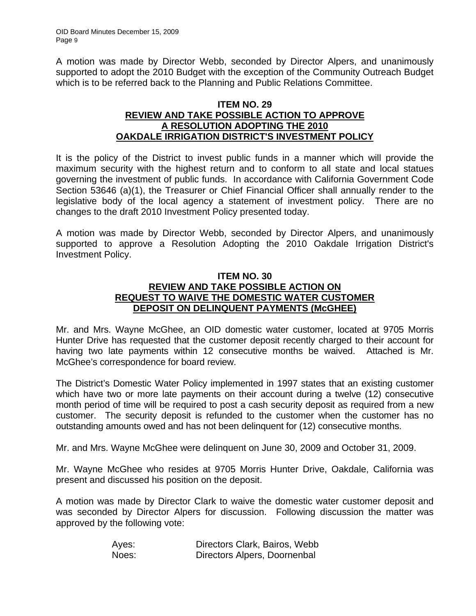A motion was made by Director Webb, seconded by Director Alpers, and unanimously supported to adopt the 2010 Budget with the exception of the Community Outreach Budget which is to be referred back to the Planning and Public Relations Committee.

### **ITEM NO. 29 REVIEW AND TAKE POSSIBLE ACTION TO APPROVE A RESOLUTION ADOPTING THE 2010 OAKDALE IRRIGATION DISTRICT'S INVESTMENT POLICY**

It is the policy of the District to invest public funds in a manner which will provide the maximum security with the highest return and to conform to all state and local statues governing the investment of public funds. In accordance with California Government Code Section 53646 (a)(1), the Treasurer or Chief Financial Officer shall annually render to the legislative body of the local agency a statement of investment policy. There are no changes to the draft 2010 Investment Policy presented today.

A motion was made by Director Webb, seconded by Director Alpers, and unanimously supported to approve a Resolution Adopting the 2010 Oakdale Irrigation District's Investment Policy.

## **ITEM NO. 30 REVIEW AND TAKE POSSIBLE ACTION ON REQUEST TO WAIVE THE DOMESTIC WATER CUSTOMER DEPOSIT ON DELINQUENT PAYMENTS (McGHEE)**

Mr. and Mrs. Wayne McGhee, an OID domestic water customer, located at 9705 Morris Hunter Drive has requested that the customer deposit recently charged to their account for having two late payments within 12 consecutive months be waived. Attached is Mr. McGhee's correspondence for board review.

The District's Domestic Water Policy implemented in 1997 states that an existing customer which have two or more late payments on their account during a twelve (12) consecutive month period of time will be required to post a cash security deposit as required from a new customer. The security deposit is refunded to the customer when the customer has no outstanding amounts owed and has not been delinquent for (12) consecutive months.

Mr. and Mrs. Wayne McGhee were delinquent on June 30, 2009 and October 31, 2009.

Mr. Wayne McGhee who resides at 9705 Morris Hunter Drive, Oakdale, California was present and discussed his position on the deposit.

A motion was made by Director Clark to waive the domestic water customer deposit and was seconded by Director Alpers for discussion. Following discussion the matter was approved by the following vote:

| Ayes: | Directors Clark, Bairos, Webb |
|-------|-------------------------------|
| Noes: | Directors Alpers, Doornenbal  |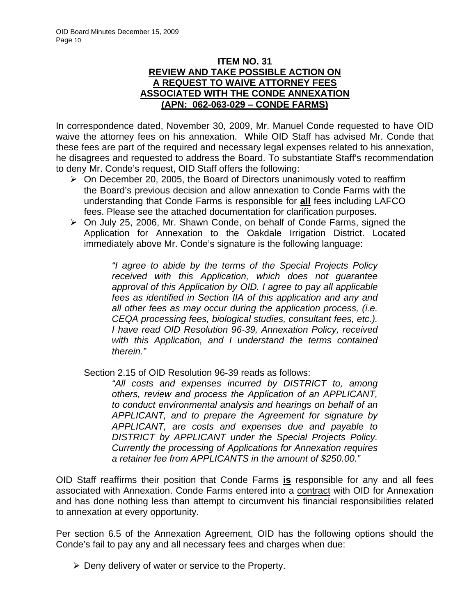## **ITEM NO. 31 REVIEW AND TAKE POSSIBLE ACTION ON A REQUEST TO WAIVE ATTORNEY FEES ASSOCIATED WITH THE CONDE ANNEXATION (APN: 062-063-029 – CONDE FARMS)**

In correspondence dated, November 30, 2009, Mr. Manuel Conde requested to have OID waive the attorney fees on his annexation. While OID Staff has advised Mr. Conde that these fees are part of the required and necessary legal expenses related to his annexation, he disagrees and requested to address the Board. To substantiate Staff's recommendation to deny Mr. Conde's request, OID Staff offers the following:

- $\triangleright$  On December 20, 2005, the Board of Directors unanimously voted to reaffirm the Board's previous decision and allow annexation to Conde Farms with the understanding that Conde Farms is responsible for **all** fees including LAFCO fees. Please see the attached documentation for clarification purposes.
- ¾ On July 25, 2006, Mr. Shawn Conde, on behalf of Conde Farms, signed the Application for Annexation to the Oakdale Irrigation District. Located immediately above Mr. Conde's signature is the following language:

*"I agree to abide by the terms of the Special Projects Policy received with this Application, which does not guarantee approval of this Application by OID. I agree to pay all applicable fees as identified in Section IIA of this application and any and all other fees as may occur during the application process, (i.e. CEQA processing fees, biological studies, consultant fees, etc.). I have read OID Resolution 96-39, Annexation Policy, received with this Application, and I understand the terms contained therein."* 

Section 2.15 of OID Resolution 96-39 reads as follows:

*"All costs and expenses incurred by DISTRICT to, among others, review and process the Application of an APPLICANT, to conduct environmental analysis and hearings on behalf of an APPLICANT, and to prepare the Agreement for signature by APPLICANT, are costs and expenses due and payable to DISTRICT by APPLICANT under the Special Projects Policy. Currently the processing of Applications for Annexation requires a retainer fee from APPLICANTS in the amount of \$250.00."* 

OID Staff reaffirms their position that Conde Farms **is** responsible for any and all fees associated with Annexation. Conde Farms entered into a contract with OID for Annexation and has done nothing less than attempt to circumvent his financial responsibilities related to annexation at every opportunity.

Per section 6.5 of the Annexation Agreement, OID has the following options should the Conde's fail to pay any and all necessary fees and charges when due:

 $\triangleright$  Deny delivery of water or service to the Property.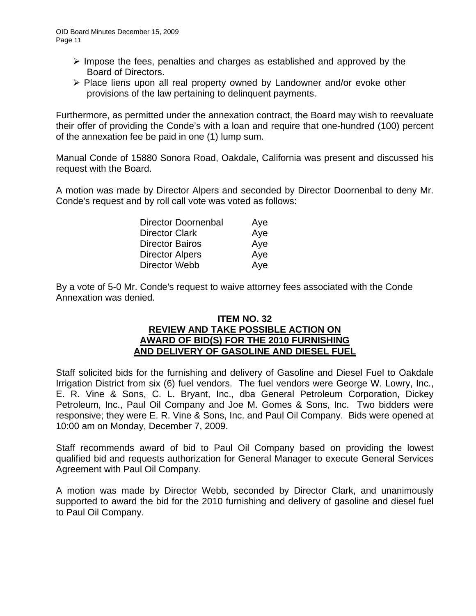- $\triangleright$  Impose the fees, penalties and charges as established and approved by the Board of Directors.
- ¾ Place liens upon all real property owned by Landowner and/or evoke other provisions of the law pertaining to delinquent payments.

Furthermore, as permitted under the annexation contract, the Board may wish to reevaluate their offer of providing the Conde's with a loan and require that one-hundred (100) percent of the annexation fee be paid in one (1) lump sum.

Manual Conde of 15880 Sonora Road, Oakdale, California was present and discussed his request with the Board.

A motion was made by Director Alpers and seconded by Director Doornenbal to deny Mr. Conde's request and by roll call vote was voted as follows:

| Director Doornenbal    | Aye |
|------------------------|-----|
| <b>Director Clark</b>  | Aye |
| <b>Director Bairos</b> | Aye |
| <b>Director Alpers</b> | Aye |
| Director Webb          | Ave |

By a vote of 5-0 Mr. Conde's request to waive attorney fees associated with the Conde Annexation was denied.

### **ITEM NO. 32**

### **REVIEW AND TAKE POSSIBLE ACTION ON AWARD OF BID(S) FOR THE 2010 FURNISHING AND DELIVERY OF GASOLINE AND DIESEL FUEL**

Staff solicited bids for the furnishing and delivery of Gasoline and Diesel Fuel to Oakdale Irrigation District from six (6) fuel vendors. The fuel vendors were George W. Lowry, Inc., E. R. Vine & Sons, C. L. Bryant, Inc., dba General Petroleum Corporation, Dickey Petroleum, Inc., Paul Oil Company and Joe M. Gomes & Sons, Inc. Two bidders were responsive; they were E. R. Vine & Sons, Inc. and Paul Oil Company. Bids were opened at 10:00 am on Monday, December 7, 2009.

Staff recommends award of bid to Paul Oil Company based on providing the lowest qualified bid and requests authorization for General Manager to execute General Services Agreement with Paul Oil Company.

A motion was made by Director Webb, seconded by Director Clark, and unanimously supported to award the bid for the 2010 furnishing and delivery of gasoline and diesel fuel to Paul Oil Company.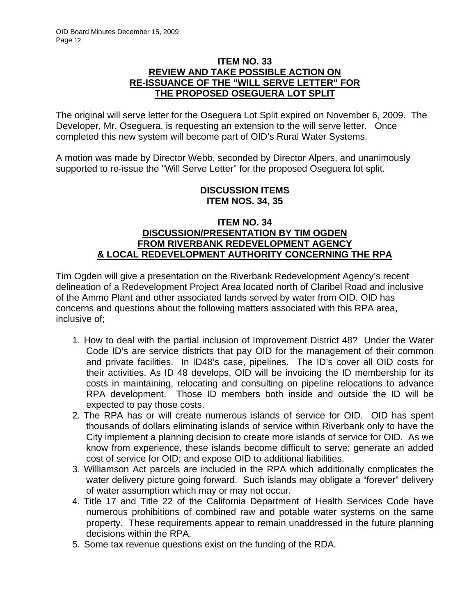#### **ITEM NO. 33 REVIEW AND TAKE POSSIBLE ACTION ON RE-ISSUANCE OF THE "WILL SERVE LETTER" FOR THE PROPOSED OSEGUERA LOT SPLIT**

The original will serve letter for the Oseguera Lot Split expired on November 6, 2009. The Developer, Mr. Oseguera, is requesting an extension to the will serve letter. Once completed this new system will become part of OID's Rural Water Systems.

A motion was made by Director Webb, seconded by Director Alpers, and unanimously supported to re-issue the "Will Serve Letter" for the proposed Oseguera lot split.

## **DISCUSSION ITEMS ITEM NOS. 34, 35**

### **ITEM NO. 34 DISCUSSION/PRESENTATION BY TIM OGDEN FROM RIVERBANK REDEVELOPMENT AGENCY & LOCAL REDEVELOPMENT AUTHORITY CONCERNING THE RPA**

Tim Ogden will give a presentation on the Riverbank Redevelopment Agency's recent delineation of a Redevelopment Project Area located north of Claribel Road and inclusive of the Ammo Plant and other associated lands served by water from OID. OID has concerns and questions about the following matters associated with this RPA area, inclusive of;

- 1. How to deal with the partial inclusion of Improvement District 48? Under the Water Code ID's are service districts that pay OID for the management of their common and private facilities. In ID48's case, pipelines. The ID's cover all OID costs for their activities. As ID 48 develops, OID will be invoicing the ID membership for its costs in maintaining, relocating and consulting on pipeline relocations to advance RPA development. Those ID members both inside and outside the ID will be expected to pay those costs.
- 2. The RPA has or will create numerous islands of service for OID. OID has spent thousands of dollars eliminating islands of service within Riverbank only to have the City implement a planning decision to create more islands of service for OID. As we know from experience, these islands become difficult to serve; generate an added cost of service for OID; and expose OID to additional liabilities.
- 3. Williamson Act parcels are included in the RPA which additionally complicates the water delivery picture going forward. Such islands may obligate a "forever" delivery of water assumption which may or may not occur.
- 4. Title 17 and Title 22 of the California Department of Health Services Code have numerous prohibitions of combined raw and potable water systems on the same property. These requirements appear to remain unaddressed in the future planning decisions within the RPA.
- 5. Some tax revenue questions exist on the funding of the RDA.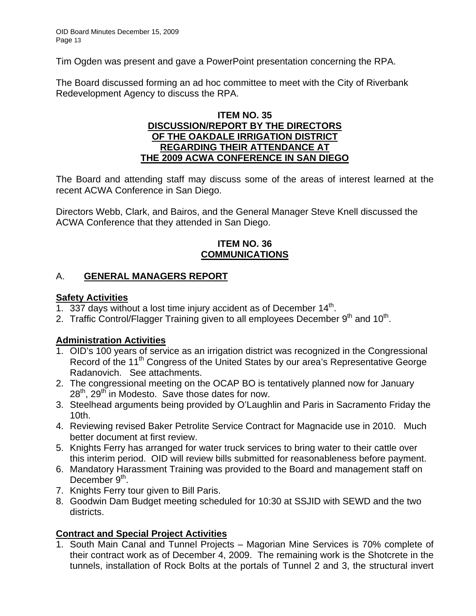Tim Ogden was present and gave a PowerPoint presentation concerning the RPA.

The Board discussed forming an ad hoc committee to meet with the City of Riverbank Redevelopment Agency to discuss the RPA.

### **ITEM NO. 35 DISCUSSION/REPORT BY THE DIRECTORS OF THE OAKDALE IRRIGATION DISTRICT REGARDING THEIR ATTENDANCE AT THE 2009 ACWA CONFERENCE IN SAN DIEGO**

The Board and attending staff may discuss some of the areas of interest learned at the recent ACWA Conference in San Diego.

Directors Webb, Clark, and Bairos, and the General Manager Steve Knell discussed the ACWA Conference that they attended in San Diego.

# **ITEM NO. 36 COMMUNICATIONS**

# A. **GENERAL MANAGERS REPORT**

# **Safety Activities**

- 1. 337 days without a lost time injury accident as of December  $14<sup>th</sup>$ .
- 2. Traffic Control/Flagger Training given to all employees December 9<sup>th</sup> and 10<sup>th</sup>.

# **Administration Activities**

- 1. OID's 100 years of service as an irrigation district was recognized in the Congressional Record of the 11<sup>th</sup> Congress of the United States by our area's Representative George Radanovich. See attachments.
- 2. The congressional meeting on the OCAP BO is tentatively planned now for January  $28<sup>th</sup>$ ,  $29<sup>th</sup>$  in Modesto. Save those dates for now.
- 3. Steelhead arguments being provided by O'Laughlin and Paris in Sacramento Friday the 10th.
- 4. Reviewing revised Baker Petrolite Service Contract for Magnacide use in 2010. Much better document at first review.
- 5. Knights Ferry has arranged for water truck services to bring water to their cattle over this interim period. OID will review bills submitted for reasonableness before payment.
- 6. Mandatory Harassment Training was provided to the Board and management staff on December  $9<sup>th</sup>$ .
- 7. Knights Ferry tour given to Bill Paris.
- 8. Goodwin Dam Budget meeting scheduled for 10:30 at SSJID with SEWD and the two districts.

# **Contract and Special Project Activities**

1. South Main Canal and Tunnel Projects – Magorian Mine Services is 70% complete of their contract work as of December 4, 2009. The remaining work is the Shotcrete in the tunnels, installation of Rock Bolts at the portals of Tunnel 2 and 3, the structural invert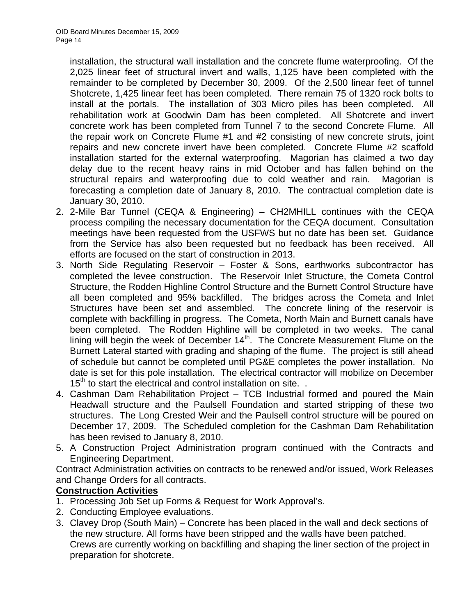installation, the structural wall installation and the concrete flume waterproofing. Of the 2,025 linear feet of structural invert and walls, 1,125 have been completed with the remainder to be completed by December 30, 2009. Of the 2,500 linear feet of tunnel Shotcrete, 1,425 linear feet has been completed. There remain 75 of 1320 rock bolts to install at the portals. The installation of 303 Micro piles has been completed. All rehabilitation work at Goodwin Dam has been completed. All Shotcrete and invert concrete work has been completed from Tunnel 7 to the second Concrete Flume. All the repair work on Concrete Flume #1 and #2 consisting of new concrete struts, joint repairs and new concrete invert have been completed. Concrete Flume #2 scaffold installation started for the external waterproofing. Magorian has claimed a two day delay due to the recent heavy rains in mid October and has fallen behind on the structural repairs and waterproofing due to cold weather and rain. Magorian is forecasting a completion date of January 8, 2010. The contractual completion date is January 30, 2010.

- 2. 2-Mile Bar Tunnel (CEQA & Engineering) CH2MHILL continues with the CEQA process compiling the necessary documentation for the CEQA document. Consultation meetings have been requested from the USFWS but no date has been set. Guidance from the Service has also been requested but no feedback has been received. All efforts are focused on the start of construction in 2013.
- 3. North Side Regulating Reservoir Foster & Sons, earthworks subcontractor has completed the levee construction. The Reservoir Inlet Structure, the Cometa Control Structure, the Rodden Highline Control Structure and the Burnett Control Structure have all been completed and 95% backfilled. The bridges across the Cometa and Inlet Structures have been set and assembled. The concrete lining of the reservoir is complete with backfilling in progress. The Cometa, North Main and Burnett canals have been completed. The Rodden Highline will be completed in two weeks. The canal lining will begin the week of December  $14<sup>th</sup>$ . The Concrete Measurement Flume on the Burnett Lateral started with grading and shaping of the flume. The project is still ahead of schedule but cannot be completed until PG&E completes the power installation. No date is set for this pole installation. The electrical contractor will mobilize on December  $15<sup>th</sup>$  to start the electrical and control installation on site. .
- 4. Cashman Dam Rehabilitation Project TCB Industrial formed and poured the Main Headwall structure and the Paulsell Foundation and started stripping of these two structures. The Long Crested Weir and the Paulsell control structure will be poured on December 17, 2009. The Scheduled completion for the Cashman Dam Rehabilitation has been revised to January 8, 2010.
- 5. A Construction Project Administration program continued with the Contracts and Engineering Department.

Contract Administration activities on contracts to be renewed and/or issued, Work Releases and Change Orders for all contracts.

# **Construction Activities**

- 1. Processing Job Set up Forms & Request for Work Approval's.
- 2. Conducting Employee evaluations.
- 3. Clavey Drop (South Main) Concrete has been placed in the wall and deck sections of the new structure. All forms have been stripped and the walls have been patched. Crews are currently working on backfilling and shaping the liner section of the project in preparation for shotcrete.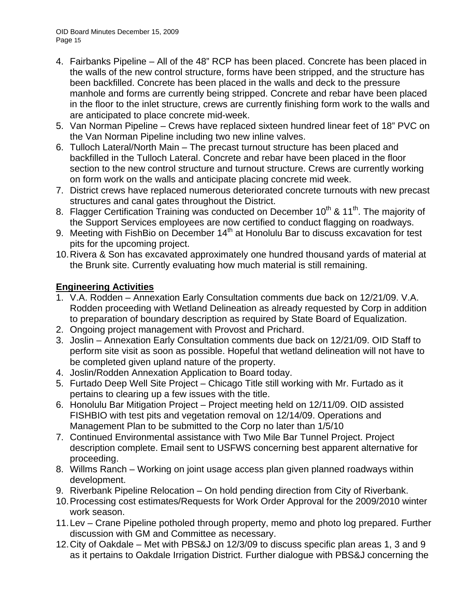OID Board Minutes December 15, 2009 Page 15

- 4. Fairbanks Pipeline All of the 48" RCP has been placed. Concrete has been placed in the walls of the new control structure, forms have been stripped, and the structure has been backfilled. Concrete has been placed in the walls and deck to the pressure manhole and forms are currently being stripped. Concrete and rebar have been placed in the floor to the inlet structure, crews are currently finishing form work to the walls and are anticipated to place concrete mid-week.
- 5. Van Norman Pipeline Crews have replaced sixteen hundred linear feet of 18" PVC on the Van Norman Pipeline including two new inline valves.
- 6. Tulloch Lateral/North Main The precast turnout structure has been placed and backfilled in the Tulloch Lateral. Concrete and rebar have been placed in the floor section to the new control structure and turnout structure. Crews are currently working on form work on the walls and anticipate placing concrete mid week.
- 7. District crews have replaced numerous deteriorated concrete turnouts with new precast structures and canal gates throughout the District.
- 8. Flagger Certification Training was conducted on December 10<sup>th</sup> & 11<sup>th</sup>. The majority of the Support Services employees are now certified to conduct flagging on roadways.
- 9. Meeting with FishBio on December 14<sup>th</sup> at Honolulu Bar to discuss excavation for test pits for the upcoming project.
- 10. Rivera & Son has excavated approximately one hundred thousand yards of material at the Brunk site. Currently evaluating how much material is still remaining.

# **Engineering Activities**

- 1. V.A. Rodden Annexation Early Consultation comments due back on 12/21/09. V.A. Rodden proceeding with Wetland Delineation as already requested by Corp in addition to preparation of boundary description as required by State Board of Equalization.
- 2. Ongoing project management with Provost and Prichard.
- 3. Joslin Annexation Early Consultation comments due back on 12/21/09. OID Staff to perform site visit as soon as possible. Hopeful that wetland delineation will not have to be completed given upland nature of the property.
- 4. Joslin/Rodden Annexation Application to Board today.
- 5. Furtado Deep Well Site Project Chicago Title still working with Mr. Furtado as it pertains to clearing up a few issues with the title.
- 6. Honolulu Bar Mitigation Project Project meeting held on 12/11/09. OID assisted FISHBIO with test pits and vegetation removal on 12/14/09. Operations and Management Plan to be submitted to the Corp no later than 1/5/10
- 7. Continued Environmental assistance with Two Mile Bar Tunnel Project. Project description complete. Email sent to USFWS concerning best apparent alternative for proceeding.
- 8. Willms Ranch Working on joint usage access plan given planned roadways within development.
- 9. Riverbank Pipeline Relocation On hold pending direction from City of Riverbank.
- 10. Processing cost estimates/Requests for Work Order Approval for the 2009/2010 winter work season.
- 11. Lev Crane Pipeline potholed through property, memo and photo log prepared. Further discussion with GM and Committee as necessary.
- 12. City of Oakdale Met with PBS&J on 12/3/09 to discuss specific plan areas 1, 3 and 9 as it pertains to Oakdale Irrigation District. Further dialogue with PBS&J concerning the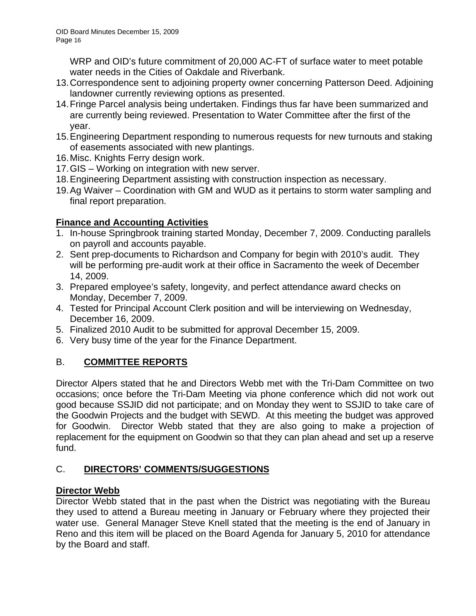WRP and OID's future commitment of 20,000 AC-FT of surface water to meet potable water needs in the Cities of Oakdale and Riverbank.

- 13. Correspondence sent to adjoining property owner concerning Patterson Deed. Adjoining landowner currently reviewing options as presented.
- 14. Fringe Parcel analysis being undertaken. Findings thus far have been summarized and are currently being reviewed. Presentation to Water Committee after the first of the year.
- 15. Engineering Department responding to numerous requests for new turnouts and staking of easements associated with new plantings.
- 16. Misc. Knights Ferry design work.
- 17. GIS Working on integration with new server.
- 18. Engineering Department assisting with construction inspection as necessary.
- 19. Ag Waiver Coordination with GM and WUD as it pertains to storm water sampling and final report preparation.

# **Finance and Accounting Activities**

- 1. In-house Springbrook training started Monday, December 7, 2009. Conducting parallels on payroll and accounts payable.
- 2. Sent prep-documents to Richardson and Company for begin with 2010's audit. They will be performing pre-audit work at their office in Sacramento the week of December 14, 2009.
- 3. Prepared employee's safety, longevity, and perfect attendance award checks on Monday, December 7, 2009.
- 4. Tested for Principal Account Clerk position and will be interviewing on Wednesday, December 16, 2009.
- 5. Finalized 2010 Audit to be submitted for approval December 15, 2009.
- 6. Very busy time of the year for the Finance Department.

# B. **COMMITTEE REPORTS**

Director Alpers stated that he and Directors Webb met with the Tri-Dam Committee on two occasions; once before the Tri-Dam Meeting via phone conference which did not work out good because SSJID did not participate; and on Monday they went to SSJID to take care of the Goodwin Projects and the budget with SEWD. At this meeting the budget was approved for Goodwin. Director Webb stated that they are also going to make a projection of replacement for the equipment on Goodwin so that they can plan ahead and set up a reserve fund.

# C. **DIRECTORS' COMMENTS/SUGGESTIONS**

# **Director Webb**

Director Webb stated that in the past when the District was negotiating with the Bureau they used to attend a Bureau meeting in January or February where they projected their water use. General Manager Steve Knell stated that the meeting is the end of January in Reno and this item will be placed on the Board Agenda for January 5, 2010 for attendance by the Board and staff.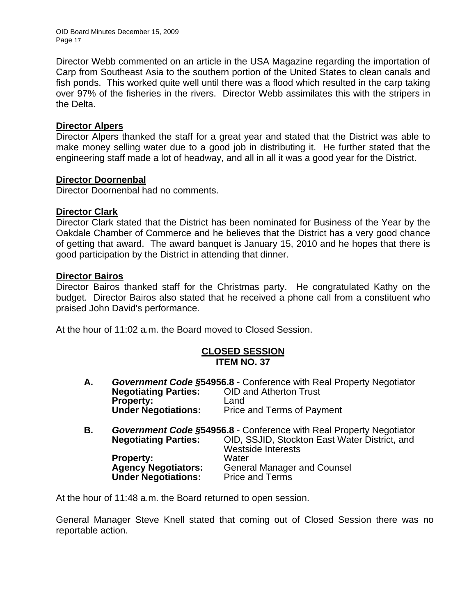OID Board Minutes December 15, 2009 Page 17

Director Webb commented on an article in the USA Magazine regarding the importation of Carp from Southeast Asia to the southern portion of the United States to clean canals and fish ponds. This worked quite well until there was a flood which resulted in the carp taking over 97% of the fisheries in the rivers. Director Webb assimilates this with the stripers in the Delta.

#### **Director Alpers**

Director Alpers thanked the staff for a great year and stated that the District was able to make money selling water due to a good job in distributing it. He further stated that the engineering staff made a lot of headway, and all in all it was a good year for the District.

#### **Director Doornenbal**

Director Doornenbal had no comments.

#### **Director Clark**

Director Clark stated that the District has been nominated for Business of the Year by the Oakdale Chamber of Commerce and he believes that the District has a very good chance of getting that award. The award banquet is January 15, 2010 and he hopes that there is good participation by the District in attending that dinner.

#### **Director Bairos**

Director Bairos thanked staff for the Christmas party. He congratulated Kathy on the budget. Director Bairos also stated that he received a phone call from a constituent who praised John David's performance.

At the hour of 11:02 a.m. the Board moved to Closed Session.

#### **CLOSED SESSION ITEM NO. 37**

| Α. | <b>Government Code §54956.8 - Conference with Real Property Negotiator</b> |                                   |  |  |
|----|----------------------------------------------------------------------------|-----------------------------------|--|--|
|    | <b>Negotiating Parties:</b>                                                | <b>OID and Atherton Trust</b>     |  |  |
|    | <b>Property:</b>                                                           | Land                              |  |  |
|    | <b>Under Negotiations:</b>                                                 | <b>Price and Terms of Payment</b> |  |  |

**B.** *Government Code §***54956.8** - Conference with Real Property Negotiator **Negotiating Parties:** OID, SSJID, Stockton East Water District, and Westside Interests<br>Water Property:<br>Agency Negotiators: General Manager and Counsel<br>Price and Terms **Under Negotiations:** 

At the hour of 11:48 a.m. the Board returned to open session.

General Manager Steve Knell stated that coming out of Closed Session there was no reportable action.